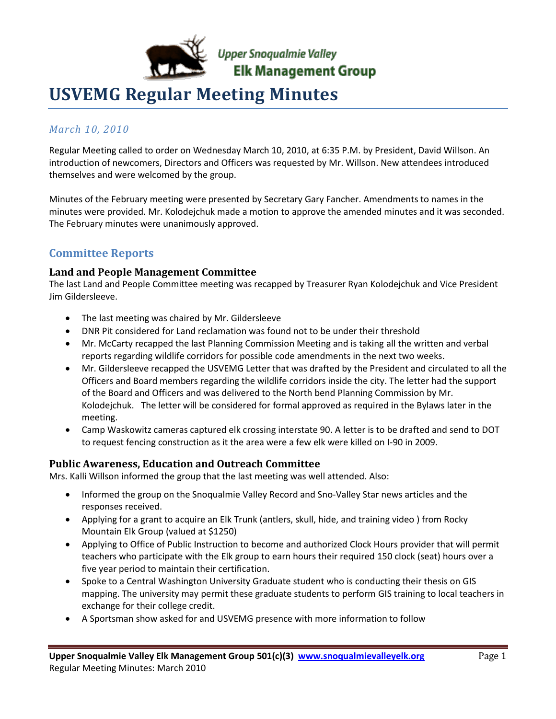

# **USVEMG Regular Meeting Minutes**

### *March 10, 2010*

Regular Meeting called to order on Wednesday March 10, 2010, at 6:35 P.M. by President, David Willson. An introduction of newcomers, Directors and Officers was requested by Mr. Willson. New attendees introduced themselves and were welcomed by the group.

Minutes of the February meeting were presented by Secretary Gary Fancher. Amendments to names in the minutes were provided. Mr. Kolodejchuk made a motion to approve the amended minutes and it was seconded. The February minutes were unanimously approved.

### **Committee Reports**

#### **Land and People Management Committee**

The last Land and People Committee meeting was recapped by Treasurer Ryan Kolodejchuk and Vice President Jim Gildersleeve.

- The last meeting was chaired by Mr. Gildersleeve
- DNR Pit considered for Land reclamation was found not to be under their threshold
- Mr. McCarty recapped the last Planning Commission Meeting and is taking all the written and verbal reports regarding wildlife corridors for possible code amendments in the next two weeks.
- Mr. Gildersleeve recapped the USVEMG Letter that was drafted by the President and circulated to all the Officers and Board members regarding the wildlife corridors inside the city. The letter had the support of the Board and Officers and was delivered to the North bend Planning Commission by Mr. Kolodejchuk. The letter will be considered for formal approved as required in the Bylaws later in the meeting.
- Camp Waskowitz cameras captured elk crossing interstate 90. A letter is to be drafted and send to DOT to request fencing construction as it the area were a few elk were killed on I-90 in 2009.

#### **Public Awareness, Education and Outreach Committee**

Mrs. Kalli Willson informed the group that the last meeting was well attended. Also:

- Informed the group on the Snoqualmie Valley Record and Sno-Valley Star news articles and the responses received.
- Applying for a grant to acquire an Elk Trunk (antlers, skull, hide, and training video ) from Rocky Mountain Elk Group (valued at \$1250)
- Applying to Office of Public Instruction to become and authorized Clock Hours provider that will permit teachers who participate with the Elk group to earn hours their required 150 clock (seat) hours over a five year period to maintain their certification.
- Spoke to a Central Washington University Graduate student who is conducting their thesis on GIS mapping. The university may permit these graduate students to perform GIS training to local teachers in exchange for their college credit.
- A Sportsman show asked for and USVEMG presence with more information to follow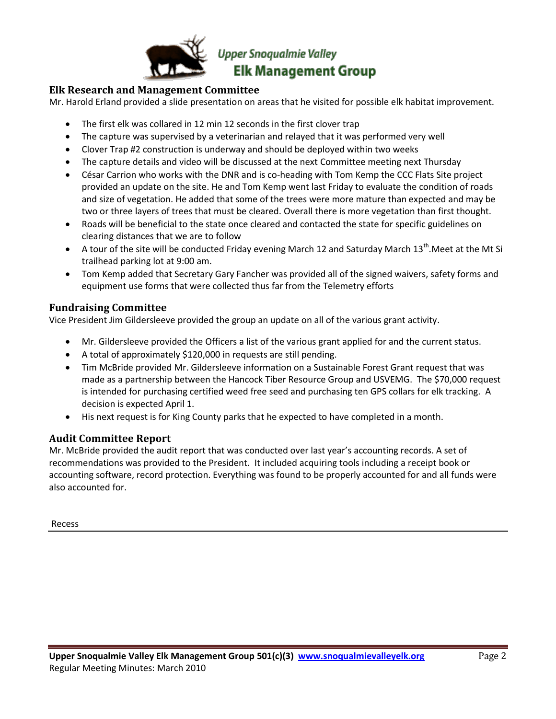

#### **Elk Research and Management Committee**

Mr. Harold Erland provided a slide presentation on areas that he visited for possible elk habitat improvement.

- The first elk was collared in 12 min 12 seconds in the first clover trap
- The capture was supervised by a veterinarian and relayed that it was performed very well
- Clover Trap #2 construction is underway and should be deployed within two weeks
- The capture details and video will be discussed at the next Committee meeting next Thursday
- César Carrion who works with the DNR and is co-heading with Tom Kemp the CCC Flats Site project provided an update on the site. He and Tom Kemp went last Friday to evaluate the condition of roads and size of vegetation. He added that some of the trees were more mature than expected and may be two or three layers of trees that must be cleared. Overall there is more vegetation than first thought.
- Roads will be beneficial to the state once cleared and contacted the state for specific guidelines on clearing distances that we are to follow
- A tour of the site will be conducted Friday evening March 12 and Saturday March 13<sup>th</sup>.Meet at the Mt Si trailhead parking lot at 9:00 am.
- Tom Kemp added that Secretary Gary Fancher was provided all of the signed waivers, safety forms and equipment use forms that were collected thus far from the Telemetry efforts

#### **Fundraising Committee**

Vice President Jim Gildersleeve provided the group an update on all of the various grant activity.

- Mr. Gildersleeve provided the Officers a list of the various grant applied for and the current status.
- A total of approximately \$120,000 in requests are still pending.
- Tim McBride provided Mr. Gildersleeve information on a Sustainable Forest Grant request that was made as a partnership between the Hancock Tiber Resource Group and USVEMG. The \$70,000 request is intended for purchasing certified weed free seed and purchasing ten GPS collars for elk tracking. A decision is expected April 1.
- His next request is for King County parks that he expected to have completed in a month.

#### **Audit Committee Report**

Mr. McBride provided the audit report that was conducted over last year's accounting records. A set of recommendations was provided to the President. It included acquiring tools including a receipt book or accounting software, record protection. Everything was found to be properly accounted for and all funds were also accounted for.

Recess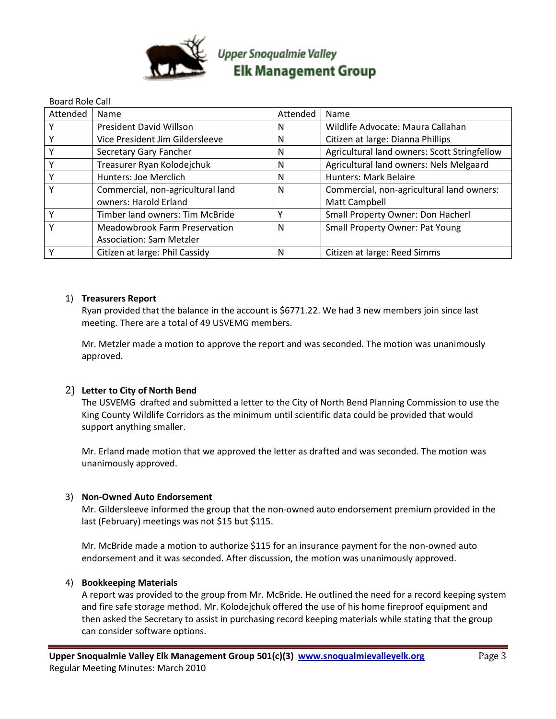

| <b>Board Role Call</b> |                                   |          |                                              |
|------------------------|-----------------------------------|----------|----------------------------------------------|
| Attended               | Name                              | Attended | Name                                         |
|                        | President David Willson           | N        | Wildlife Advocate: Maura Callahan            |
|                        | Vice President Jim Gildersleeve   | N        | Citizen at large: Dianna Phillips            |
|                        | Secretary Gary Fancher            | N        | Agricultural land owners: Scott Stringfellow |
|                        | Treasurer Ryan Kolodejchuk        | N        | Agricultural land owners: Nels Melgaard      |
|                        | Hunters: Joe Merclich             | N        | <b>Hunters: Mark Belaire</b>                 |
|                        | Commercial, non-agricultural land | N        | Commercial, non-agricultural land owners:    |
|                        | owners: Harold Erland             |          | Matt Campbell                                |
|                        | Timber land owners: Tim McBride   |          | Small Property Owner: Don Hacherl            |
|                        | Meadowbrook Farm Preservation     | N        | <b>Small Property Owner: Pat Young</b>       |
|                        | <b>Association: Sam Metzler</b>   |          |                                              |
|                        | Citizen at large: Phil Cassidy    | N        | Citizen at large: Reed Simms                 |

#### 1) **Treasurers Report**

Ryan provided that the balance in the account is \$6771.22. We had 3 new members join since last meeting. There are a total of 49 USVEMG members.

Mr. Metzler made a motion to approve the report and was seconded. The motion was unanimously approved.

#### 2) **Letter to City of North Bend**

The USVEMG drafted and submitted a letter to the City of North Bend Planning Commission to use the King County Wildlife Corridors as the minimum until scientific data could be provided that would support anything smaller.

Mr. Erland made motion that we approved the letter as drafted and was seconded. The motion was unanimously approved.

#### 3) **Non-Owned Auto Endorsement**

Mr. Gildersleeve informed the group that the non-owned auto endorsement premium provided in the last (February) meetings was not \$15 but \$115.

Mr. McBride made a motion to authorize \$115 for an insurance payment for the non-owned auto endorsement and it was seconded. After discussion, the motion was unanimously approved.

#### 4) **Bookkeeping Materials**

A report was provided to the group from Mr. McBride. He outlined the need for a record keeping system and fire safe storage method. Mr. Kolodejchuk offered the use of his home fireproof equipment and then asked the Secretary to assist in purchasing record keeping materials while stating that the group can consider software options.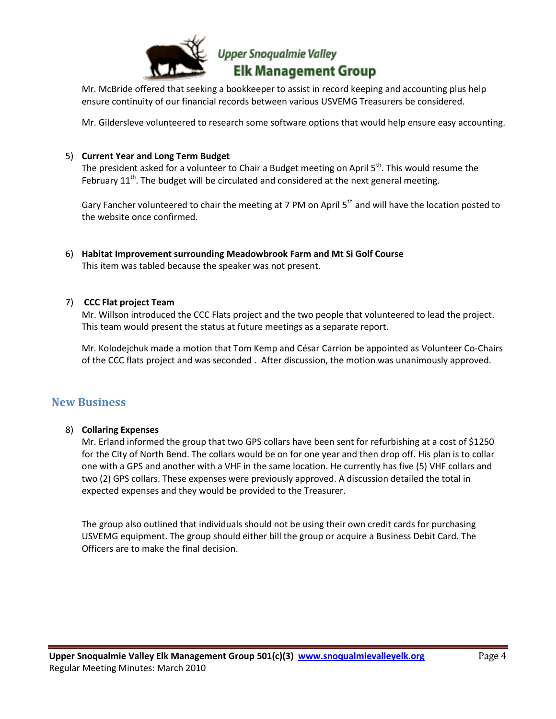

Mr. McBride offered that seeking a bookkeeper to assist in record keeping and accounting plus help ensure continuity of our financial records between various USVEMG Treasurers be considered.

Mr. Gildersleve volunteered to research some software options that would help ensure easy accounting.

#### 5) **Current Year and Long Term Budget**

The president asked for a volunteer to Chair a Budget meeting on April 5<sup>th</sup>. This would resume the February  $11<sup>th</sup>$ . The budget will be circulated and considered at the next general meeting.

Gary Fancher volunteered to chair the meeting at 7 PM on April 5<sup>th</sup> and will have the location posted to the website once confirmed.

6) **Habitat Improvement surrounding Meadowbrook Farm and Mt Si Golf Course** This item was tabled because the speaker was not present.

#### 7) **CCC Flat project Team**

Mr. Willson introduced the CCC Flats project and the two people that volunteered to lead the project. This team would present the status at future meetings as a separate report.

Mr. Kolodejchuk made a motion that Tom Kemp and César Carrion be appointed as Volunteer Co-Chairs of the CCC flats project and was seconded . After discussion, the motion was unanimously approved.

#### **New Business**

#### 8) **Collaring Expenses**

Mr. Erland informed the group that two GPS collars have been sent for refurbishing at a cost of \$1250 for the City of North Bend. The collars would be on for one year and then drop off. His plan is to collar one with a GPS and another with a VHF in the same location. He currently has five (5) VHF collars and two (2) GPS collars. These expenses were previously approved. A discussion detailed the total in expected expenses and they would be provided to the Treasurer.

The group also outlined that individuals should not be using their own credit cards for purchasing USVEMG equipment. The group should either bill the group or acquire a Business Debit Card. The Officers are to make the final decision.